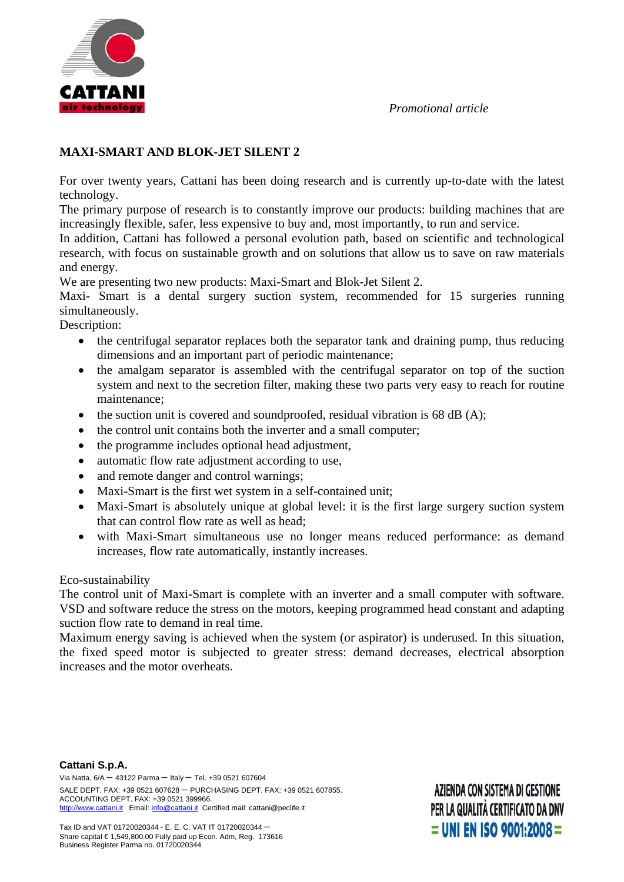



## **MAXI-SMART AND BLOK-JET SILENT 2**

For over twenty years, Cattani has been doing research and is currently up-to-date with the latest technology.

The primary purpose of research is to constantly improve our products: building machines that are increasingly flexible, safer, less expensive to buy and, most importantly, to run and service.

In addition, Cattani has followed a personal evolution path, based on scientific and technological research, with focus on sustainable growth and on solutions that allow us to save on raw materials and energy.

We are presenting two new products: Maxi-Smart and Blok-Jet Silent 2.

Maxi- Smart is a dental surgery suction system, recommended for 15 surgeries running simultaneously.

Description:

- the centrifugal separator replaces both the separator tank and draining pump, thus reducing dimensions and an important part of periodic maintenance;
- the amalgam separator is assembled with the centrifugal separator on top of the suction system and next to the secretion filter, making these two parts very easy to reach for routine maintenance;
- $\bullet$  the suction unit is covered and soundproofed, residual vibration is 68 dB (A);
- the control unit contains both the inverter and a small computer;
- the programme includes optional head adjustment,
- automatic flow rate adjustment according to use,
- and remote danger and control warnings:
- Maxi-Smart is the first wet system in a self-contained unit;
- Maxi-Smart is absolutely unique at global level: it is the first large surgery suction system that can control flow rate as well as head;
- with Maxi-Smart simultaneous use no longer means reduced performance: as demand increases, flow rate automatically, instantly increases.

## Eco-sustainability

The control unit of Maxi-Smart is complete with an inverter and a small computer with software. VSD and software reduce the stress on the motors, keeping programmed head constant and adapting suction flow rate to demand in real time.

Maximum energy saving is achieved when the system (or aspirator) is underused. In this situation, the fixed speed motor is subjected to greater stress: demand decreases, electrical absorption increases and the motor overheats.

AZIENDA CON SISTEMA DI GESTIONE PER LA QUALITÀ CERTIFICATO DA DNV  $=$  UNI EN ISO 9001:2008  $=$